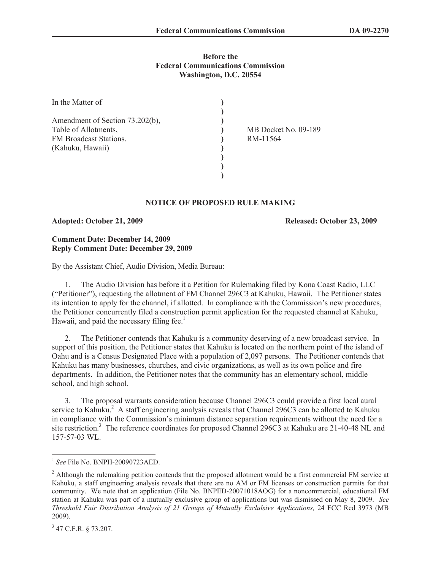### **Before the Federal Communications Commission Washington, D.C. 20554**

| In the Matter of                |                      |
|---------------------------------|----------------------|
|                                 |                      |
| Amendment of Section 73.202(b), |                      |
| Table of Allotments,            | MB Docket No. 09-189 |
| FM Broadcast Stations.          | RM-11564             |
| (Kahuku, Hawaii)                |                      |
|                                 |                      |
|                                 |                      |
|                                 |                      |

# **NOTICE OF PROPOSED RULE MAKING**

#### **Adopted: October 21, 2009 Released: October 23, 2009**

## **Comment Date: December 14, 2009 Reply Comment Date: December 29, 2009**

By the Assistant Chief, Audio Division, Media Bureau:

1. The Audio Division has before it a Petition for Rulemaking filed by Kona Coast Radio, LLC ("Petitioner"), requesting the allotment of FM Channel 296C3 at Kahuku, Hawaii. The Petitioner states its intention to apply for the channel, if allotted. In compliance with the Commission's new procedures, the Petitioner concurrently filed a construction permit application for the requested channel at Kahuku, Hawaii, and paid the necessary filing fee.<sup>1</sup>

2. The Petitioner contends that Kahuku is a community deserving of a new broadcast service. In support of this position, the Petitioner states that Kahuku is located on the northern point of the island of Oahu and is a Census Designated Place with a population of 2,097 persons. The Petitioner contends that Kahuku has many businesses, churches, and civic organizations, as well as its own police and fire departments. In addition, the Petitioner notes that the community has an elementary school, middle school, and high school.

3. The proposal warrants consideration because Channel 296C3 could provide a first local aural service to Kahuku.<sup>2</sup> A staff engineering analysis reveals that Channel 296C3 can be allotted to Kahuku in compliance with the Commission's minimum distance separation requirements without the need for a site restriction.<sup>3</sup> The reference coordinates for proposed Channel 296C3 at Kahuku are 21-40-48 NL and 157-57-03 WL.

<sup>1</sup> *See* File No. BNPH-20090723AED.

<sup>&</sup>lt;sup>2</sup> Although the rulemaking petition contends that the proposed allotment would be a first commercial FM service at Kahuku, a staff engineering analysis reveals that there are no AM or FM licenses or construction permits for that community. We note that an application (File No. BNPED-20071018AOG) for a noncommercial, educational FM station at Kahuku was part of a mutually exclusive group of applications but was dismissed on May 8, 2009. *See Threshold Fair Distribution Analysis of 21 Groups of Mutually Exclulsive Applications,* 24 FCC Rcd 3973 (MB 2009).

<sup>3</sup> 47 C.F.R. § 73.207.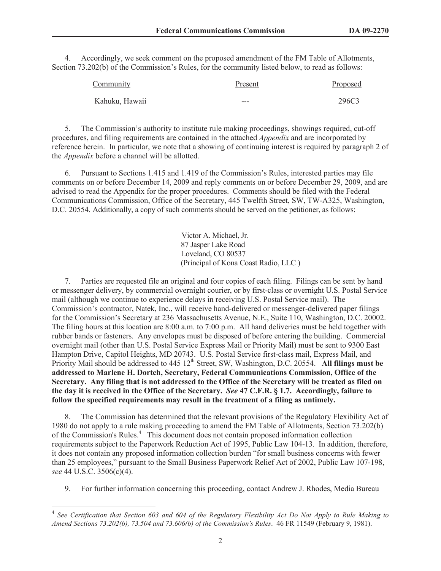4. Accordingly, we seek comment on the proposed amendment of the FM Table of Allotments, Section 73.202(b) of the Commission's Rules, for the community listed below, to read as follows:

| Community      | Present | <b>Proposed</b> |
|----------------|---------|-----------------|
| Kahuku, Hawaii | ---     | 296C3           |

5. The Commission's authority to institute rule making proceedings, showings required, cut-off procedures, and filing requirements are contained in the attached *Appendix* and are incorporated by reference herein. In particular, we note that a showing of continuing interest is required by paragraph 2 of the *Appendix* before a channel will be allotted.

6. Pursuant to Sections 1.415 and 1.419 of the Commission's Rules, interested parties may file comments on or before December 14, 2009 and reply comments on or before December 29, 2009, and are advised to read the Appendix for the proper procedures. Comments should be filed with the Federal Communications Commission, Office of the Secretary, 445 Twelfth Street, SW, TW-A325, Washington, D.C. 20554. Additionally, a copy of such comments should be served on the petitioner, as follows:

> Victor A. Michael, Jr. 87 Jasper Lake Road Loveland, CO 80537 (Principal of Kona Coast Radio, LLC )

7. Parties are requested file an original and four copies of each filing. Filings can be sent by hand or messenger delivery, by commercial overnight courier, or by first-class or overnight U.S. Postal Service mail (although we continue to experience delays in receiving U.S. Postal Service mail). The Commission's contractor, Natek, Inc., will receive hand-delivered or messenger-delivered paper filings for the Commission's Secretary at 236 Massachusetts Avenue, N.E., Suite 110, Washington, D.C. 20002. The filing hours at this location are 8:00 a.m. to 7:00 p.m. All hand deliveries must be held together with rubber bands or fasteners. Any envelopes must be disposed of before entering the building. Commercial overnight mail (other than U.S. Postal Service Express Mail or Priority Mail) must be sent to 9300 East Hampton Drive, Capitol Heights, MD 20743. U.S. Postal Service first-class mail, Express Mail, and Priority Mail should be addressed to 445 12<sup>th</sup> Street, SW, Washington, D.C. 20554. All filings must be **addressed to Marlene H. Dortch, Secretary, Federal Communications Commission, Office of the Secretary. Any filing that is not addressed to the Office of the Secretary will be treated as filed on the day it is received in the Office of the Secretary.** *See* **47 C.F.R. § 1.7. Accordingly, failure to follow the specified requirements may result in the treatment of a filing as untimely.** 

8. The Commission has determined that the relevant provisions of the Regulatory Flexibility Act of 1980 do not apply to a rule making proceeding to amend the FM Table of Allotments, Section 73.202(b) of the Commission's Rules.<sup>4</sup> This document does not contain proposed information collection requirements subject to the Paperwork Reduction Act of 1995, Public Law 104-13. In addition, therefore, it does not contain any proposed information collection burden "for small business concerns with fewer than 25 employees," pursuant to the Small Business Paperwork Relief Act of 2002, Public Law 107-198, *see* 44 U.S.C. 3506(c)(4).

9. For further information concerning this proceeding, contact Andrew J. Rhodes, Media Bureau

<sup>&</sup>lt;sup>4</sup> See Certification that Section 603 and 604 of the Regulatory Flexibility Act Do Not Apply to Rule Making to *Amend Sections 73.202(b), 73.504 and 73.606(b) of the Commission's Rules*. 46 FR 11549 (February 9, 1981).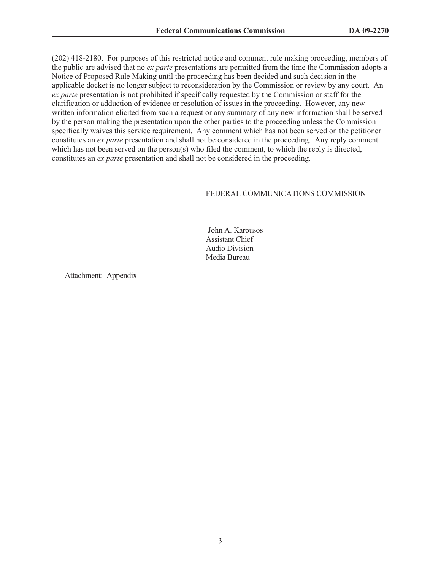(202) 418-2180. For purposes of this restricted notice and comment rule making proceeding, members of the public are advised that no *ex parte* presentations are permitted from the time the Commission adopts a Notice of Proposed Rule Making until the proceeding has been decided and such decision in the applicable docket is no longer subject to reconsideration by the Commission or review by any court. An *ex parte* presentation is not prohibited if specifically requested by the Commission or staff for the clarification or adduction of evidence or resolution of issues in the proceeding. However, any new written information elicited from such a request or any summary of any new information shall be served by the person making the presentation upon the other parties to the proceeding unless the Commission specifically waives this service requirement. Any comment which has not been served on the petitioner constitutes an *ex parte* presentation and shall not be considered in the proceeding. Any reply comment which has not been served on the person(s) who filed the comment, to which the reply is directed, constitutes an *ex parte* presentation and shall not be considered in the proceeding.

## FEDERAL COMMUNICATIONS COMMISSION

John A. Karousos Assistant Chief Audio Division Media Bureau

Attachment: Appendix